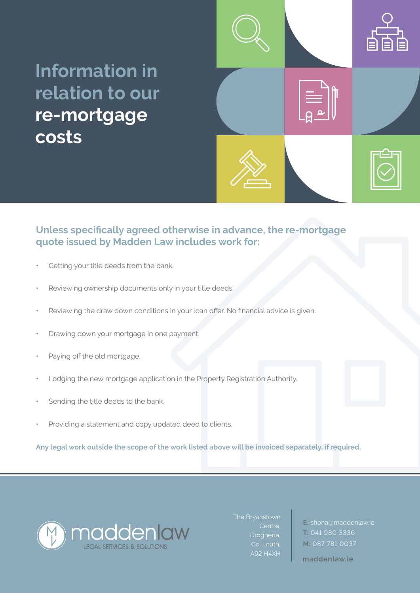## **Information in relation to our re-mortgage costs**



## **Unless specifically agreed otherwise in advance, the re-mortgage quote issued by Madden Law includes work for:**

- Getting your title deeds from the bank.
- Reviewing ownership documents only in your title deeds.
- Reviewing the draw down conditions in your loan offer. No financial advice is given.
- Drawing down your mortgage in one payment.
- Paying off the old mortgage.
- Lodging the new mortgage application in the Property Registration Authority.
- Sending the title deeds to the bank.
- Providing a statement and copy updated deed to clients.

• **Any legal work outside the scope of the work listed above will be invoiced separately, if required.**



Centre, Drogheda, Co. Louth, A92 H4XH

**E:** shona@maddenlaw.ie **T:** 041 980 3336 **M:** 087 781 0037

**maddenlaw.ie**